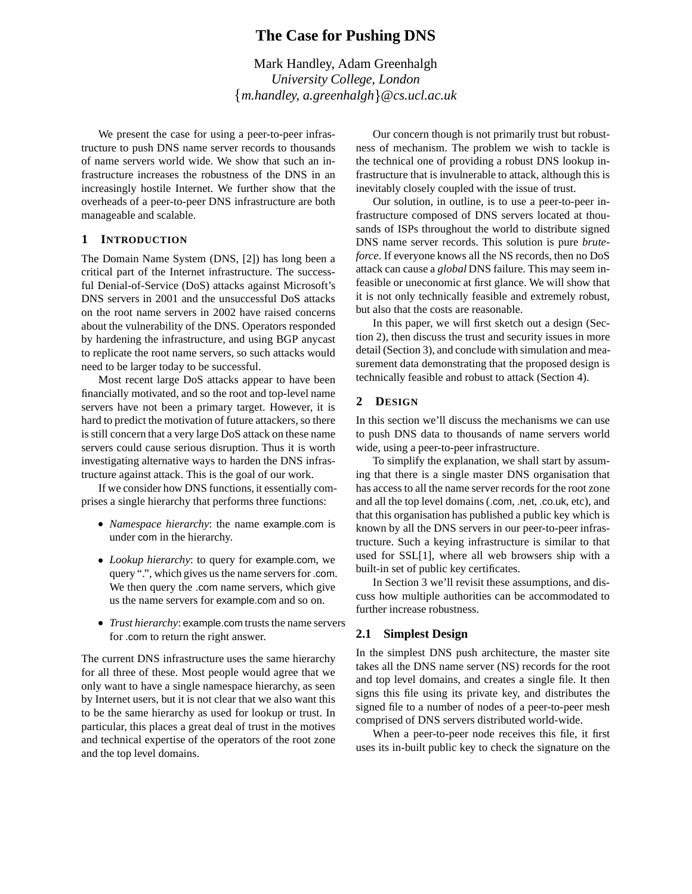# **The Case for Pushing DNS**

Mark Handley, Adam Greenhalgh *University College, London m.handley, a.greenhalgh @cs.ucl.ac.uk*

We present the case for using a peer-to-peer infrastructure to push DNS name server records to thousands of name servers world wide. We show that such an infrastructure increases the robustness of the DNS in an increasingly hostile Internet. We further show that the overheads of a peer-to-peer DNS infrastructure are both manageable and scalable.

# **1 INTRODUCTION**

The Domain Name System (DNS, [2]) has long been a critical part of the Internet infrastructure. The successful Denial-of-Service (DoS) attacks against Microsoft's DNS servers in 2001 and the unsuccessful DoS attacks on the root name servers in 2002 have raised concerns about the vulnerability of the DNS. Operators responded by hardening the infrastructure, and using BGP anycast to replicate the root name servers, so such attacks would need to be larger today to be successful.

Most recent large DoS attacks appear to have been financially motivated, and so the root and top-level name servers have not been a primary target. However, it is hard to predict the motivation of future attackers, so there is still concern that a very large DoS attack on these name servers could cause serious disruption. Thus it is worth investigating alternative ways to harden the DNS infrastructure against attack. This is the goal of our work.

If we consider how DNS functions, it essentially comprises a single hierarchy that performs three functions:

- *Namespace hierarchy*: the name example.com is under com in the hierarchy.
- *Lookup hierarchy*: to query for example.com, we query ".", which gives us the name serversfor .com. We then query the .com name servers, which give us the name servers for example.com and so on.
- *Trust hierarchy*: example.com trusts the name servers for .com to return the right answer.

The current DNS infrastructure uses the same hierarchy for all three of these. Most people would agree that we only want to have a single namespace hierarchy, as seen by Internet users, but it is not clear that we also want this to be the same hierarchy as used for lookup or trust. In particular, this places a great deal of trust in the motives and technical expertise of the operators of the root zone and the top level domains.

Our concern though is not primarily trust but robustness of mechanism. The problem we wish to tackle is the technical one of providing a robust DNS lookup infrastructure that is invulnerable to attack, although this is inevitably closely coupled with the issue of trust.

Our solution, in outline, is to use a peer-to-peer infrastructure composed of DNS servers located at thousands of ISPs throughout the world to distribute signed DNS name server records. This solution is pure *bruteforce*. If everyone knows all the NS records, then no DoS attack can cause a *global* DNS failure. This may seem infeasible or uneconomic at first glance. We will show that it is not only technically feasible and extremely robust, but also that the costs are reasonable.

In this paper, we will first sketch out a design (Section 2), then discuss the trust and security issues in more detail (Section 3), and conclude with simulation and measurement data demonstrating that the proposed design is technically feasible and robust to attack (Section 4).

# **2 DESIGN**

In this section we'll discuss the mechanisms we can use to push DNS data to thousands of name servers world wide, using a peer-to-peer infrastructure.

To simplify the explanation, we shall start by assuming that there is a single master DNS organisation that has access to all the name server records for the root zone and all the top level domains (.com, .net, .co.uk, etc), and that this organisation has published a public key which is known by all the DNS servers in our peer-to-peer infrastructure. Such a keying infrastructure is similar to that used for SSL[1], where all web browsers ship with a built-in set of public key certificates.

In Section 3 we'll revisit these assumptions, and discuss how multiple authorities can be accommodated to further increase robustness.

# **2.1 Simplest Design**

In the simplest DNS push architecture, the master site takes all the DNS name server (NS) records for the root and top level domains, and creates a single file. It then signs this file using its private key, and distributes the signed file to a number of nodes of a peer-to-peer mesh comprised of DNS servers distributed world-wide.

When a peer-to-peer node receives this file, it first uses its in-built public key to check the signature on the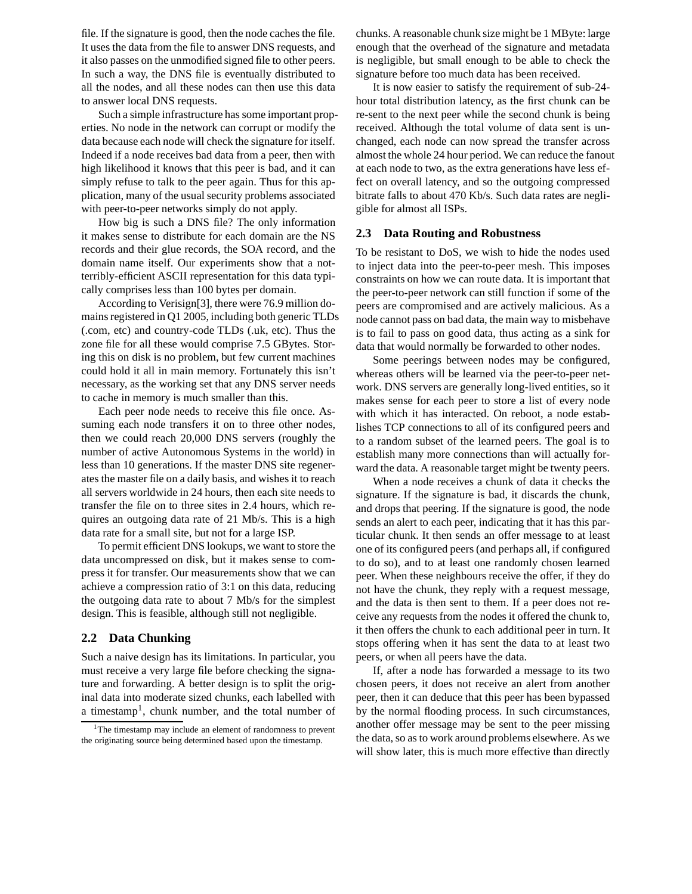file. If the signature is good, then the node caches the file. It uses the data from the file to answer DNS requests, and it also passes on the unmodified signed file to other peers. In such a way, the DNS file is eventually distributed to all the nodes, and all these nodes can then use this data to answer local DNS requests.

Such a simple infrastructure has some important properties. No node in the network can corrupt or modify the data because each node will check the signature for itself. Indeed if a node receives bad data from a peer, then with high likelihood it knows that this peer is bad, and it can simply refuse to talk to the peer again. Thus for this application, many of the usual security problems associated with peer-to-peer networks simply do not apply.

How big is such a DNS file? The only information it makes sense to distribute for each domain are the NS records and their glue records, the SOA record, and the domain name itself. Our experiments show that a notterribly-efficient ASCII representation for this data typically comprises less than 100 bytes per domain.

According to Verisign[3], there were 76.9 million domains registered in Q1 2005, including both generic TLDs (.com, etc) and country-code TLDs (.uk, etc). Thus the zone file for all these would comprise 7.5 GBytes. Storing this on disk is no problem, but few current machines could hold it all in main memory. Fortunately this isn't necessary, as the working set that any DNS server needs to cache in memory is much smaller than this.

Each peer node needs to receive this file once. Assuming each node transfers it on to three other nodes, then we could reach 20,000 DNS servers (roughly the number of active Autonomous Systems in the world) in less than 10 generations. If the master DNS site regenerates the master file on a daily basis, and wishes it to reach all servers worldwide in 24 hours, then each site needs to transfer the file on to three sites in 2.4 hours, which requires an outgoing data rate of 21 Mb/s. This is a high data rate for a small site, but not for a large ISP.

To permit efficient DNS lookups, we want to store the data uncompressed on disk, but it makes sense to compress it for transfer. Our measurements show that we can achieve a compression ratio of 3:1 on this data, reducing the outgoing data rate to about 7 Mb/s for the simplest design. This is feasible, although still not negligible.

# **2.2 Data Chunking**

Such a naive design has its limitations. In particular, you must receive a very large file before checking the signature and forwarding. A better design is to split the original data into moderate sized chunks, each labelled with a timestamp<sup>1</sup>, chunk number, and the total number of

chunks. A reasonable chunk size might be 1 MByte: large enough that the overhead of the signature and metadata is negligible, but small enough to be able to check the signature before too much data has been received.

It is now easier to satisfy the requirement of sub-24 hour total distribution latency, as the first chunk can be re-sent to the next peer while the second chunk is being received. Although the total volume of data sent is unchanged, each node can now spread the transfer across almost the whole 24 hour period. We can reduce the fanout at each node to two, as the extra generations have less effect on overall latency, and so the outgoing compressed bitrate falls to about 470 Kb/s. Such data rates are negligible for almost all ISPs.

#### **2.3 Data Routing and Robustness**

To be resistant to DoS, we wish to hide the nodes used to inject data into the peer-to-peer mesh. This imposes constraints on how we can route data. It is important that the peer-to-peer network can still function if some of the peers are compromised and are actively malicious. As a node cannot pass on bad data, the main way to misbehave is to fail to pass on good data, thus acting as a sink for data that would normally be forwarded to other nodes.

Some peerings between nodes may be configured, whereas others will be learned via the peer-to-peer network. DNS servers are generally long-lived entities, so it makes sense for each peer to store a list of every node with which it has interacted. On reboot, a node establishes TCP connections to all of its configured peers and to a random subset of the learned peers. The goal is to establish many more connections than will actually forward the data. A reasonable target might be twenty peers.

When a node receives a chunk of data it checks the signature. If the signature is bad, it discards the chunk, and drops that peering. If the signature is good, the node sends an alert to each peer, indicating that it has this particular chunk. It then sends an offer message to at least one of its configured peers (and perhaps all, if configured to do so), and to at least one randomly chosen learned peer. When these neighbours receive the offer, if they do not have the chunk, they reply with a request message, and the data is then sent to them. If a peer does not receive any requests from the nodes it offered the chunk to, it then offers the chunk to each additional peer in turn. It stops offering when it has sent the data to at least two peers, or when all peers have the data.

If, after a node has forwarded a message to its two chosen peers, it does not receive an alert from another peer, then it can deduce that this peer has been bypassed by the normal flooding process. In such circumstances, another offer message may be sent to the peer missing the data, so as to work around problems elsewhere. As we will show later, this is much more effective than directly

<sup>&</sup>lt;sup>1</sup>The timestamp may include an element of randomness to prevent the originating source being determined based upon the timestamp.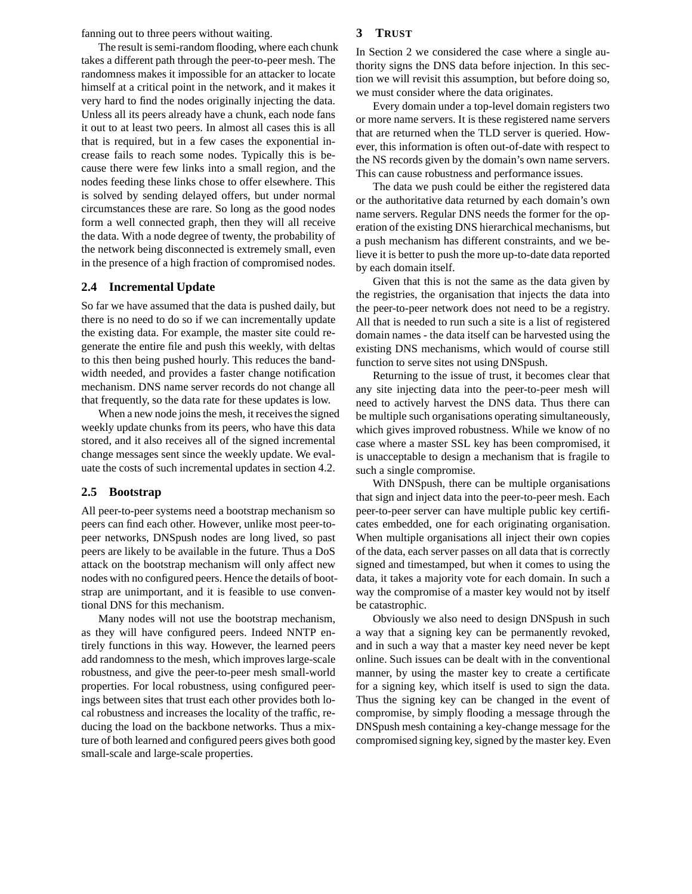fanning out to three peers without waiting.

The result is semi-random flooding, where each chunk takes a different path through the peer-to-peer mesh. The randomness makes it impossible for an attacker to locate himself at a critical point in the network, and it makes it very hard to find the nodes originally injecting the data. Unless all its peers already have a chunk, each node fans it out to at least two peers. In almost all cases this is all that is required, but in a few cases the exponential increase fails to reach some nodes. Typically this is because there were few links into a small region, and the nodes feeding these links chose to offer elsewhere. This is solved by sending delayed offers, but under normal circumstances these are rare. So long as the good nodes form a well connected graph, then they will all receive the data. With a node degree of twenty, the probability of the network being disconnected is extremely small, even in the presence of a high fraction of compromised nodes.

#### **2.4 Incremental Update**

So far we have assumed that the data is pushed daily, but there is no need to do so if we can incrementally update the existing data. For example, the master site could regenerate the entire file and push this weekly, with deltas to this then being pushed hourly. This reduces the bandwidth needed, and provides a faster change notification mechanism. DNS name server records do not change all that frequently, so the data rate for these updates is low.

When a new node joins the mesh, it receives the signed weekly update chunks from its peers, who have this data stored, and it also receives all of the signed incremental change messages sent since the weekly update. We evaluate the costs of such incremental updates in section 4.2.

#### **2.5 Bootstrap**

All peer-to-peer systems need a bootstrap mechanism so peers can find each other. However, unlike most peer-topeer networks, DNSpush nodes are long lived, so past peers are likely to be available in the future. Thus a DoS attack on the bootstrap mechanism will only affect new nodes with no configured peers. Hence the details of bootstrap are unimportant, and it is feasible to use conventional DNS for this mechanism.

Many nodes will not use the bootstrap mechanism, as they will have configured peers. Indeed NNTP entirely functions in this way. However, the learned peers add randomness to the mesh, which improves large-scale robustness, and give the peer-to-peer mesh small-world properties. For local robustness, using configured peerings between sites that trust each other provides both local robustness and increases the locality of the traffic, reducing the load on the backbone networks. Thus a mixture of both learned and configured peers gives both good small-scale and large-scale properties.

#### **3 TRUST**

In Section 2 we considered the case where a single authority signs the DNS data before injection. In this section we will revisit this assumption, but before doing so, we must consider where the data originates.

Every domain under a top-level domain registers two or more name servers. It is these registered name servers that are returned when the TLD server is queried. However, this information is often out-of-date with respect to the NS records given by the domain's own name servers. This can cause robustness and performance issues.

The data we push could be either the registered data or the authoritative data returned by each domain's own name servers. Regular DNS needs the former for the operation of the existing DNS hierarchical mechanisms, but a push mechanism has different constraints, and we believe it is better to push the more up-to-date data reported by each domain itself.

Given that this is not the same as the data given by the registries, the organisation that injects the data into the peer-to-peer network does not need to be a registry. All that is needed to run such a site is a list of registered domain names - the data itself can be harvested using the existing DNS mechanisms, which would of course still function to serve sites not using DNSpush.

Returning to the issue of trust, it becomes clear that any site injecting data into the peer-to-peer mesh will need to actively harvest the DNS data. Thus there can be multiple such organisations operating simultaneously, which gives improved robustness. While we know of no case where a master SSL key has been compromised, it is unacceptable to design a mechanism that is fragile to such a single compromise.

With DNSpush, there can be multiple organisations that sign and inject data into the peer-to-peer mesh. Each peer-to-peer server can have multiple public key certificates embedded, one for each originating organisation. When multiple organisations all inject their own copies of the data, each server passes on all data that is correctly signed and timestamped, but when it comes to using the data, it takes a majority vote for each domain. In such a way the compromise of a master key would not by itself be catastrophic.

Obviously we also need to design DNSpush in such a way that a signing key can be permanently revoked, and in such a way that a master key need never be kept online. Such issues can be dealt with in the conventional manner, by using the master key to create a certificate for a signing key, which itself is used to sign the data. Thus the signing key can be changed in the event of compromise, by simply flooding a message through the DNSpush mesh containing a key-change message for the compromised signing key, signed by the master key. Even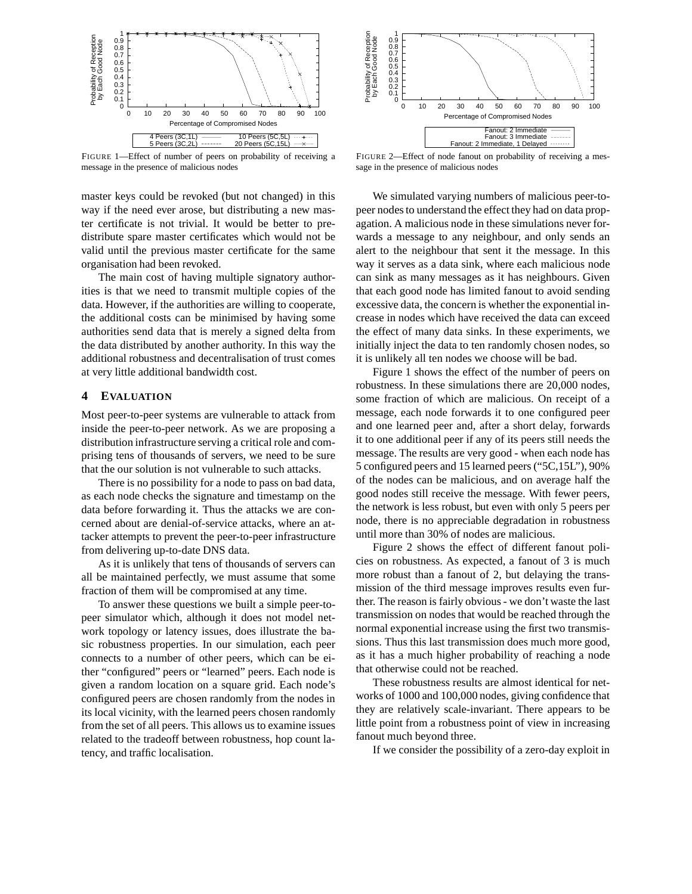

FIGURE 1—Effect of number of peers on probability of receiving a message in the presence of malicious nodes

master keys could be revoked (but not changed) in this way if the need ever arose, but distributing a new master certificate is not trivial. It would be better to predistribute spare master certificates which would not be valid until the previous master certificate for the same organisation had been revoked.

The main cost of having multiple signatory authorities is that we need to transmit multiple copies of the data. However, if the authorities are willing to cooperate, the additional costs can be minimised by having some authorities send data that is merely a signed delta from the data distributed by another authority. In this way the additional robustness and decentralisation of trust comes at very little additional bandwidth cost.

# **4 EVALUATION**

Most peer-to-peer systems are vulnerable to attack from inside the peer-to-peer network. As we are proposing a distribution infrastructure serving a critical role and comprising tens of thousands of servers, we need to be sure that the our solution is not vulnerable to such attacks.

There is no possibility for a node to pass on bad data, as each node checks the signature and timestamp on the data before forwarding it. Thus the attacks we are concerned about are denial-of-service attacks, where an attacker attempts to prevent the peer-to-peer infrastructure from delivering up-to-date DNS data.

As it is unlikely that tens of thousands of servers can all be maintained perfectly, we must assume that some fraction of them will be compromised at any time.

To answer these questions we built a simple peer-topeer simulator which, although it does not model network topology or latency issues, does illustrate the basic robustness properties. In our simulation, each peer connects to a number of other peers, which can be either "configured" peers or "learned" peers. Each node is given a random location on a square grid. Each node's configured peers are chosen randomly from the nodes in its local vicinity, with the learned peers chosen randomly from the set of all peers. This allows us to examine issues related to the tradeoff between robustness, hop count latency, and traffic localisation.



FIGURE 2—Effect of node fanout on probability of receiving a message in the presence of malicious nodes

We simulated varying numbers of malicious peer-topeer nodes to understand the effect they had on data propagation. A malicious node in these simulations never forwards a message to any neighbour, and only sends an alert to the neighbour that sent it the message. In this way it serves as a data sink, where each malicious node can sink as many messages as it has neighbours. Given that each good node has limited fanout to avoid sending excessive data, the concern is whether the exponential increase in nodes which have received the data can exceed the effect of many data sinks. In these experiments, we initially inject the data to ten randomly chosen nodes, so it is unlikely all ten nodes we choose will be bad.

Figure 1 shows the effect of the number of peers on robustness. In these simulations there are 20,000 nodes, some fraction of which are malicious. On receipt of a message, each node forwards it to one configured peer and one learned peer and, after a short delay, forwards it to one additional peer if any of its peers still needs the message. The results are very good - when each node has 5 configured peers and 15 learned peers ("5C,15L"), 90% of the nodes can be malicious, and on average half the good nodes still receive the message. With fewer peers, the network is less robust, but even with only 5 peers per node, there is no appreciable degradation in robustness until more than 30% of nodes are malicious.

Figure 2 shows the effect of different fanout policies on robustness. As expected, a fanout of 3 is much more robust than a fanout of 2, but delaying the transmission of the third message improves results even further. The reason is fairly obvious- we don't waste the last transmission on nodes that would be reached through the normal exponential increase using the first two transmissions. Thus this last transmission does much more good, as it has a much higher probability of reaching a node that otherwise could not be reached.

These robustness results are almost identical for networks of 1000 and 100,000 nodes, giving confidence that they are relatively scale-invariant. There appears to be little point from a robustness point of view in increasing fanout much beyond three.

If we consider the possibility of a zero-day exploit in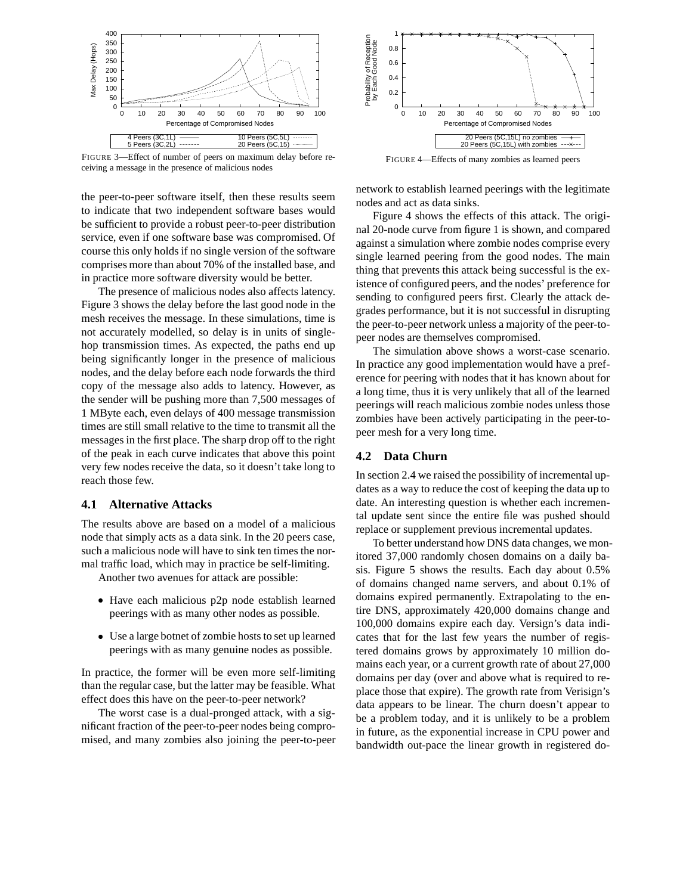

FIGURE 3—Effect of number of peers on maximum delay before receiving a message in the presence of malicious nodes

the peer-to-peer software itself, then these results seem to indicate that two independent software bases would be sufficient to provide a robust peer-to-peer distribution service, even if one software base was compromised. Of course this only holds if no single version of the software comprises more than about 70% of the installed base, and in practice more software diversity would be better.

The presence of malicious nodes also affects latency. Figure 3 shows the delay before the last good node in the mesh receives the message. In these simulations, time is not accurately modelled, so delay is in units of singlehop transmission times. As expected, the paths end up being significantly longer in the presence of malicious nodes, and the delay before each node forwards the third copy of the message also adds to latency. However, as the sender will be pushing more than 7,500 messages of 1 MByte each, even delays of 400 message transmission times are still small relative to the time to transmit all the messages in the first place. The sharp drop off to the right of the peak in each curve indicates that above this point very few nodes receive the data, so it doesn't take long to reach those few.

#### **4.1 Alternative Attacks**

The results above are based on a model of a malicious node that simply acts as a data sink. In the 20 peers case, such a malicious node will have to sink ten times the normal traffic load, which may in practice be self-limiting.

Another two avenues for attack are possible:

- Have each malicious p2p node establish learned peerings with as many other nodes as possible.
- Use a large botnet of zombie hosts to set up learned peerings with as many genuine nodes as possible.

In practice, the former will be even more self-limiting than the regular case, but the latter may be feasible. What effect does this have on the peer-to-peer network?

The worst case is a dual-pronged attack, with a significant fraction of the peer-to-peer nodes being compromised, and many zombies also joining the peer-to-peer



FIGURE 4—Effects of many zombies as learned peers

network to establish learned peerings with the legitimate nodes and act as data sinks.

Figure 4 shows the effects of this attack. The original 20-node curve from figure 1 is shown, and compared against a simulation where zombie nodes comprise every single learned peering from the good nodes. The main thing that prevents this attack being successful is the existence of configured peers, and the nodes' preference for sending to configured peers first. Clearly the attack degrades performance, but it is not successful in disrupting the peer-to-peer network unless a majority of the peer-topeer nodes are themselves compromised.

The simulation above shows a worst-case scenario. In practice any good implementation would have a preference for peering with nodes that it has known about for a long time, thus it is very unlikely that all of the learned peerings will reach malicious zombie nodes unless those zombies have been actively participating in the peer-topeer mesh for a very long time.

#### **4.2 Data Churn**

In section 2.4 we raised the possibility of incremental updates as a way to reduce the cost of keeping the data up to date. An interesting question is whether each incremental update sent since the entire file was pushed should replace or supplement previous incremental updates.

To better understand how DNS data changes, we monitored 37,000 randomly chosen domains on a daily basis. Figure 5 shows the results. Each day about 0.5% of domains changed name servers, and about 0.1% of domains expired permanently. Extrapolating to the entire DNS, approximately 420,000 domains change and 100,000 domains expire each day. Versign's data indicates that for the last few years the number of registered domains grows by approximately 10 million domains each year, or a current growth rate of about 27,000 domains per day (over and above what is required to replace those that expire). The growth rate from Verisign's data appears to be linear. The churn doesn't appear to be a problem today, and it is unlikely to be a problem in future, as the exponential increase in CPU power and bandwidth out-pace the linear growth in registered do-